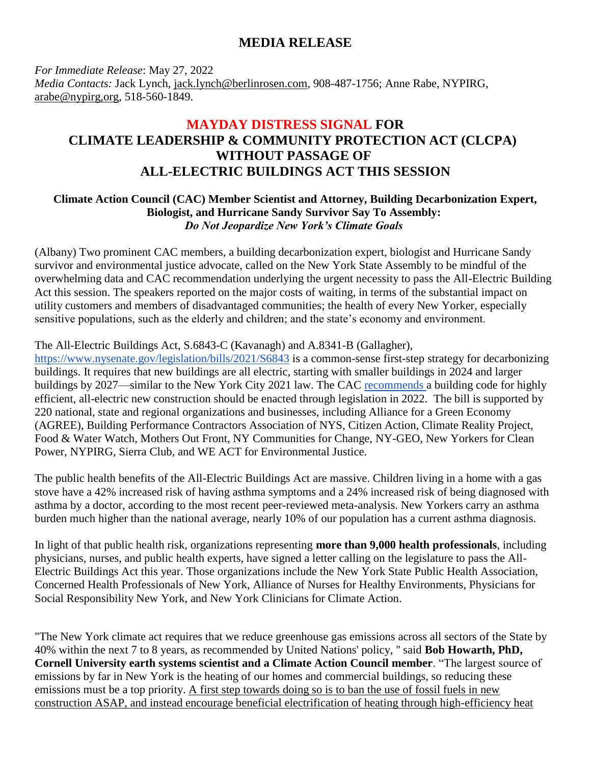## **MEDIA RELEASE**

*For Immediate Release*: May 27, 2022 *Media Contacts:* Jack Lynch, [jack.lynch@berlinrosen.com,](mailto:jack.lynch@berlinrosen.com) 908-487-1756; Anne Rabe, NYPIRG, arabe@nypirg,org, 518-560-1849.

## **MAYDAY DISTRESS SIGNAL FOR CLIMATE LEADERSHIP & COMMUNITY PROTECTION ACT (CLCPA) WITHOUT PASSAGE OF ALL-ELECTRIC BUILDINGS ACT THIS SESSION**

## **Climate Action Council (CAC) Member Scientist and Attorney, Building Decarbonization Expert, Biologist, and Hurricane Sandy Survivor Say To Assembly:** *Do Not Jeopardize New York's Climate Goals*

(Albany) Two prominent CAC members, a building decarbonization expert, biologist and Hurricane Sandy survivor and environmental justice advocate, called on the New York State Assembly to be mindful of the overwhelming data and CAC recommendation underlying the urgent necessity to pass the All-Electric Building Act this session. The speakers reported on the major costs of waiting, in terms of the substantial impact on utility customers and members of disadvantaged communities; the health of every New Yorker, especially sensitive populations, such as the elderly and children; and the state's economy and environment.

## The All-Electric Buildings Act, S.6843-C (Kavanagh) and A.8341-B (Gallagher),

<https://www.nysenate.gov/legislation/bills/2021/S6843> is a common-sense first-step strategy for decarbonizing buildings. It requires that new buildings are all electric, starting with smaller buildings in 2024 and larger buildings by 2027—similar to the New York City 2021 law. The CAC [recommends a](https://climate.ny.gov/Our-Climate-Act/Draft-Scoping-Plan) building code for highly efficient, all-electric new construction should be enacted through legislation in 2022. The bill is supported by 220 national, state and regional organizations and businesses, including Alliance for a Green Economy (AGREE), Building Performance Contractors Association of NYS, Citizen Action, Climate Reality Project, Food & Water Watch, Mothers Out Front, NY Communities for Change, NY-GEO, New Yorkers for Clean Power, NYPIRG, Sierra Club, and WE ACT for Environmental Justice.

The public health benefits of the All-Electric Buildings Act are massive. Children living in a home with a gas stove have a 42% increased risk of having asthma symptoms and a 24% increased risk of being diagnosed with asthma by a doctor, according to the most recent peer-reviewed meta-analysis. New Yorkers carry an asthma burden much higher than the national average, nearly 10% of our population has a current asthma diagnosis.

In light of that public health risk, organizations representing **more than 9,000 health professionals**, including physicians, nurses, and public health experts, have signed a letter calling on the legislature to pass the All-Electric Buildings Act this year. Those organizations include the New York State Public Health Association, Concerned Health Professionals of New York, Alliance of Nurses for Healthy Environments, Physicians for Social Responsibility New York, and New York Clinicians for Climate Action.

"The New York climate act requires that we reduce greenhouse gas emissions across all sectors of the State by 40% within the next 7 to 8 years, as recommended by United Nations' policy, '' said **Bob Howarth, PhD, Cornell University earth systems scientist and a Climate Action Council member**. "The largest source of emissions by far in New York is the heating of our homes and commercial buildings, so reducing these emissions must be a top priority. A first step towards doing so is to ban the use of fossil fuels in new construction ASAP, and instead encourage beneficial electrification of heating through high-efficiency heat